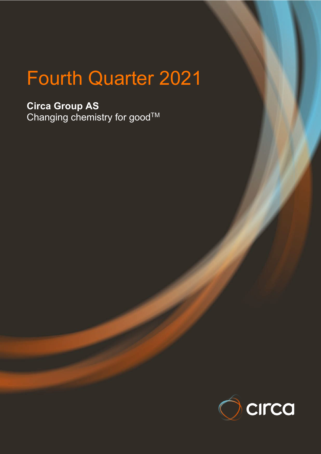# Fourth Quarter 2021

**Circa Group AS** Changing chemistry for good $^{\intercal\mathsf{M}}$ 

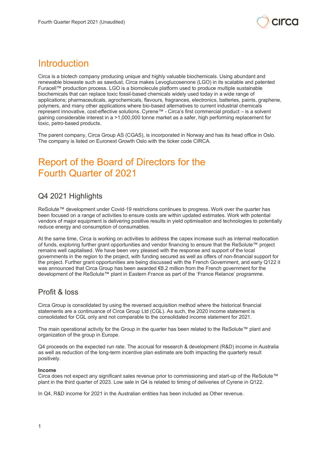

# **Introduction**

Circa is a biotech company producing unique and highly valuable biochemicals. Using abundant and renewable biowaste such as sawdust, Circa makes Levoglucosenone (LGO) in its scalable and patented Furacell™ production process. LGO is a biomolecule platform used to produce multiple sustainable biochemicals that can replace toxic fossil-based chemicals widely used today in a wide range of applications; pharmaceuticals, agrochemicals, flavours, fragrances, electronics, batteries, paints, graphene, polymers, and many other applications where bio-based alternatives to current industrial chemicals represent innovative, cost-effective solutions. Cyrene™ - Circa's first commercial product – is a solvent gaining considerable interest in a >1,000,000 tonne market as a safer, high performing replacement for toxic, petro-based products.

The parent company, Circa Group AS (CGAS), is incorporated in Norway and has its head office in Oslo. The company is listed on Euronext Growth Oslo with the ticker code CIRCA.

# Report of the Board of Directors for the Fourth Quarter of 2021

# Q4 2021 Highlights

ReSolute™ development under Covid-19 restrictions continues to progress. Work over the quarter has been focused on a range of activities to ensure costs are within updated estimates. Work with potential vendors of major equipment is delivering positive results in yield optimisation and technologies to potentially reduce energy and consumption of consumables.

At the same time, Circa is working on activities to address the capex increase such as internal reallocation of funds, exploring further grant opportunities and vendor financing to ensure that the ReSolute™ project remains well capitalised. We have been very pleased with the response and support of the local governments in the region to the project, with funding secured as well as offers of non-financial support for the project. Further grant opportunities are being discussed with the French Government, and early Q122 it was announced that Circa Group has been awarded €8.2 million from the French government for the development of the ReSolute™ plant in Eastern France as part of the 'France Relance' programme.

# Profit & loss

Circa Group is consolidated by using the reversed acquisition method where the historical financial statements are a continuance of Circa Group Ltd (CGL). As such, the 2020 income statement is consolidated for CGL only and not comparable to the consolidated income statement for 2021.

The main operational activity for the Group in the quarter has been related to the ReSolute™ plant and organization of the group in Europe.

Q4 proceeds on the expected run rate. The accrual for research & development (R&D) income in Australia as well as reduction of the long-term incentive plan estimate are both impacting the quarterly result positively.

### **Income**

Circa does not expect any significant sales revenue prior to commissioning and start-up of the ReSolute™ plant in the third quarter of 2023. Low sale in Q4 is related to timing of deliveries of Cyrene in Q122.

In Q4, R&D income for 2021 in the Australian entities has been included as Other revenue.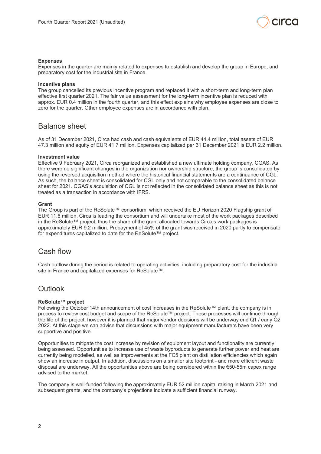

#### **Expenses**

Expenses in the quarter are mainly related to expenses to establish and develop the group in Europe, and preparatory cost for the industrial site in France.

#### **Incentive plans**

The group cancelled its previous incentive program and replaced it with a short-term and long-term plan effective first quarter 2021. The fair value assessment for the long-term incentive plan is reduced with approx. EUR 0.4 million in the fourth quarter, and this effect explains why employee expenses are close to zero for the quarter. Other employee expenses are in accordance with plan.

### Balance sheet

As of 31 December 2021, Circa had cash and cash equivalents of EUR 44.4 million, total assets of EUR 47.3 million and equity of EUR 41.7 million. Expenses capitalized per 31 December 2021 is EUR 2.2 million.

#### **Investment value**

Effective 9 February 2021, Circa reorganized and established a new ultimate holding company, CGAS. As there were no significant changes in the organization nor ownership structure, the group is consolidated by using the reversed acquisition method where the historical financial statements are a continuance of CGL. As such, the balance sheet is consolidated for CGL only and not comparable to the consolidated balance sheet for 2021. CGAS's acquisition of CGL is not reflected in the consolidated balance sheet as this is not treated as a transaction in accordance with IFRS.

#### **Grant**

The Group is part of the ReSolute™ consortium, which received the EU Horizon 2020 Flagship grant of EUR 11.6 million. Circa is leading the consortium and will undertake most of the work packages described in the ReSolute™ project, thus the share of the grant allocated towards Circa's work packages is approximately EUR 9.2 million. Prepayment of 45% of the grant was received in 2020 partly to compensate for expenditures capitalized to date for the ReSolute™ project.

### Cash flow

Cash outflow during the period is related to operating activities, including preparatory cost for the industrial site in France and capitalized expenses for ReSolute™.

### **Outlook**

#### **ReSolute™ project**

Following the October 14th announcement of cost increases in the ReSolute™ plant, the company is in process to review cost budget and scope of the ReSolute™ project. These processes will continue through the life of the project, however it is planned that major vendor decisions will be underway end Q1 / early Q2 2022. At this stage we can advise that discussions with major equipment manufacturers have been very supportive and positive.

Opportunities to mitigate the cost increase by revision of equipment layout and functionality are currently being assessed. Opportunities to increase use of waste byproducts to generate further power and heat are currently being modelled, as well as improvements at the FC5 plant on distillation efficiencies which again show an increase in output. In addition, discussions on a smaller site footprint - and more efficient waste disposal are underway. All the opportunities above are being considered within the €50-55m capex range advised to the market.

The company is well-funded following the approximately EUR 52 million capital raising in March 2021 and subsequent grants, and the company's projections indicate a sufficient financial runway.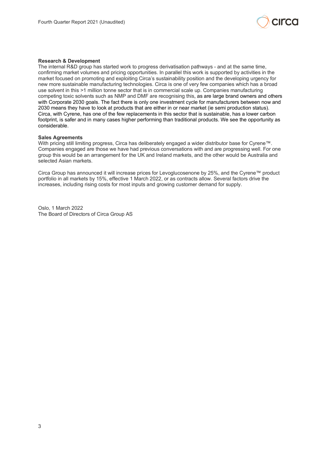

### **Research & Development**

The internal R&D group has started work to progress derivatisation pathways - and at the same time, confirming market volumes and pricing opportunities. In parallel this work is supported by activities in the market focused on promoting and exploiting Circa's sustainability position and the developing urgency for new more sustainable manufacturing technologies. Circa is one of very few companies which has a broad use solvent in this >1 million tonne sector that is in commercial scale up. Companies manufacturing competing toxic solvents such as NMP and DMF are recognising this, as are large brand owners and others with Corporate 2030 goals. The fact there is only one investment cycle for manufacturers between now and 2030 means they have to look at products that are either in or near market (ie semi production status). Circa, with Cyrene, has one of the few replacements in this sector that is sustainable, has a lower carbon footprint, is safer and in many cases higher performing than traditional products. We see the opportunity as considerable.

#### **Sales Agreements**

With pricing still limiting progress, Circa has deliberately engaged a wider distributor base for Cyrene™. Companies engaged are those we have had previous conversations with and are progressing well. For one group this would be an arrangement for the UK and Ireland markets, and the other would be Australia and selected Asian markets.

Circa Group has announced it will increase prices for Levoglucosenone by 25%, and the Cyrene™ product portfolio in all markets by 15%, effective 1 March 2022, or as contracts allow. Several factors drive the increases, including rising costs for most inputs and growing customer demand for supply.

Oslo, 1 March 2022 The Board of Directors of Circa Group AS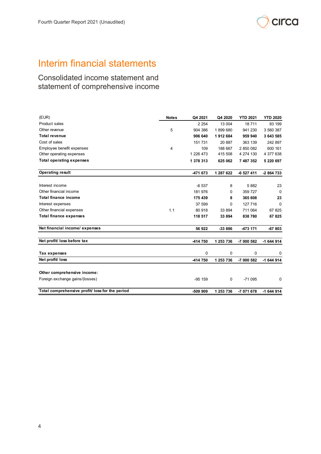

# Interim financial statements

Consolidated income statement and statement of comprehensive income

| (EUR)                                           | <b>Notes</b> | Q4 2021   | Q4 2020   | <b>YTD 2021</b> | <b>YTD 2020</b> |
|-------------------------------------------------|--------------|-----------|-----------|-----------------|-----------------|
| <b>Product sales</b>                            |              | 2 2 5 4   | 13 004    | 18711           | 83 199          |
| Other revenue                                   | 5            | 904 386   | 1899680   | 941 230         | 3 560 387       |
| <b>Total revenue</b>                            |              | 906 640   | 1912684   | 959 940         | 3 643 585       |
| Cost of sales                                   |              | 151 731   | 20 887    | 363 139         | 242 897         |
| Employee benefit expenses                       | 4            | 109       | 188 667   | 2 850 082       | 600 161         |
| Other operating expenses                        |              | 1 226 473 | 415 508   | 4 274 130       | 4 377 638       |
| <b>Total operating expenses</b>                 |              | 1 378 313 | 625 062   | 7 487 352       | 5 220 697       |
| <b>Operating result</b>                         |              | -471 673  | 1 287 622 | -6 527 411      | -2 864 733      |
| Interest income                                 |              | $-6537$   | 8         | 5882            | 23              |
| Other financial income                          |              | 181 976   | 0         | 359 727         | $\Omega$        |
| Total finance income                            |              | 175 439   | 8         | 365 608         | 23              |
| Interest expenses                               |              | 37 599    | 0         | 127 716         | 0               |
| Other financial expenses                        | 1.1          | 80 918    | 33 894    | 711 064         | 67 825          |
| <b>Total finance expenses</b>                   |              | 118 517   | 33 894    | 838 780         | 67 825          |
| Net financial income/ expenses                  |              | 56 922    | -33 886   | -473 171        | $-67803$        |
| Net profit/ loss before tax                     |              | -414 750  | 1 253 736 | -7 000 582      | $-1644914$      |
| Tax expenses                                    |              | 0         | 0         | 0               | 0               |
| Net profit/ loss                                |              | -414 750  | 1 253 736 | -7 000 582      | -1 644 914      |
| Other comprehensive income:                     |              |           |           |                 |                 |
| Foreign exchange gains/(losses)                 |              | $-95159$  | 0         | $-71095$        | $\Omega$        |
| Total comprehensive profit/ loss for the period |              | -509 909  | 1 253 736 | -7 071 678      | $-1644914$      |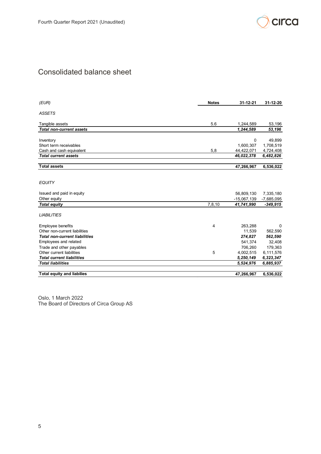

# Consolidated balance sheet

| (EUR)                                                   | <b>Notes</b> | $31 - 12 - 21$           | 31-12-20               |
|---------------------------------------------------------|--------------|--------------------------|------------------------|
| ASSETS                                                  |              |                          |                        |
| Tangible assets                                         | 5.6          | 1,244,589                | 53,196                 |
| <b>Total non-current assets</b>                         |              | 1,244,589                | 53,196                 |
|                                                         |              |                          |                        |
| Inventory                                               |              | 0                        | 49,899                 |
| Short term receivables                                  |              | 1,600,307                | 1,708,519              |
| Cash and cash equivalent<br><b>Total current assets</b> | 5,8          | 44,422,071<br>46,022,378 | 4,724,408<br>6,482,826 |
|                                                         |              |                          |                        |
| <b>Total assets</b>                                     |              | 47,266,967               | 6,536,022              |
| EQUITY                                                  |              |                          |                        |
| Issued and paid in equity                               |              | 56,809,130               | 7,335,180              |
| Other equity                                            |              | $-15,067,139$            | $-7,685,095$           |
| <b>Total equity</b>                                     | 7,8,10       | 41,741,990               | $-349,915$             |
| <i>LIABILITIES</i>                                      |              |                          |                        |
| <b>Employee benefits</b>                                | 4            | 263,288                  | 0                      |
| Other non-current liabilities                           |              | 11,539                   | 562,590                |
| <b>Total non-current liabilities</b>                    |              | 274,827                  | 562,590                |
| Employees and related                                   |              | 541,374                  | 32,408                 |
| Trade and other payables                                |              | 706,260                  | 179,363                |
| Other current liabilities                               | 5            | 4,002,515                | 6,111,576              |
| <b>Total current liabilities</b>                        |              | 5,250,149                | 6,323,347              |
| <b>Total liabilities</b>                                |              | 5,524,976                | 6,885,937              |
| <b>Total equity and liabilies</b>                       |              | 47,266,967               | 6,536,022              |

Oslo, 1 March 2022 The Board of Directors of Circa Group AS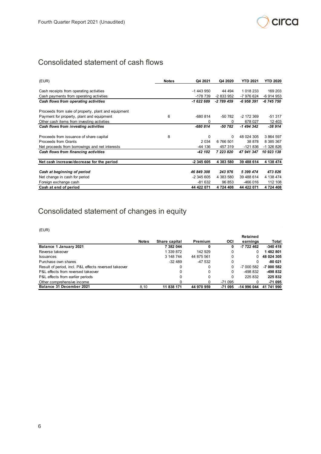

# Consolidated statement of cash flows

| (EUR)                                               | <b>Notes</b> | Q4 2021    | Q4 2020    | <b>YTD 2021</b> | YTD 2020   |
|-----------------------------------------------------|--------------|------------|------------|-----------------|------------|
|                                                     |              | -1 443 950 | 44 4 94    | 1 018 233       | 169 203    |
| Cash receipts from operating activities             |              |            |            |                 |            |
| Cash payments from operating activities             |              | -178 739   | -2 833 952 | -7 976 624      | -6 914 953 |
| Cash flows from operating activities                |              | $-1622689$ | -2 789 459 | -6 958 391      | -6 745 750 |
| Proceeds from sale of property, plant and equipment |              |            |            |                 |            |
| Payment for property, plant and equipment           | 6            | $-680814$  | $-50782$   | -2 172 369      | $-51317$   |
| Other cash items from investing activities          |              | 0          | 0          | 678 027         | 12 403     |
| Cash flows from investing activities                |              | -680 814   | -50 782    | $-1494342$      | -38 914    |
| Proceeds from issuance of share capital             | 8            | 0          | 0          | 48 024 305      | 3 864 597  |
| Proceeds from Grants                                |              | 2 0 3 4    | 6 766 501  | 38 878          | 8 385 367  |
| Net proceeds from borrowings and net interests      |              | $-44$ 136  | 457 319    | $-121836$       | -1 326 826 |
| Cash flows from financing activities                |              | -42 102    | 7 223 820  | 47 941 347      | 10 923 138 |
| Net cash increase/decrease for the period           |              | -2 345 605 | 4 383 580  | 39 488 614      | 4 138 474  |
| Cash at beginning of period                         |              | 46 849 308 | 243 976    | 5 399 474       | 473 826    |
| Net change in cash for period                       |              | -2 345 605 | 4 383 580  | 39 488 614      | 4 138 474  |
| Foreign exchange cash                               |              | -81 632    | 96 853     | -466 016        | 112 108    |
| Cash at end of period                               |              | 44 422 071 | 4 724 408  | 44 422 071      | 4 724 408  |
|                                                     |              |            |            |                 |            |

# Consolidated statement of changes in equity

(EUR)

|                                                       |              |               |            |            | Retained    |            |
|-------------------------------------------------------|--------------|---------------|------------|------------|-------------|------------|
|                                                       | <b>Notes</b> | Share capital | Premium    | <b>OCI</b> | earnings    | Total      |
| Balance 1 January 2021                                |              | 7 382 044     |            | 0          | -7 722 462  | $-340418$  |
| Reverse takeover                                      |              | 1 339 872     | 142 929    |            |             | 1 482 801  |
| <b>Issuances</b>                                      |              | 3 148 744     | 44 875 561 |            | 0           | 48 024 305 |
| Purchase own shares                                   |              | $-32489$      | $-47532$   | 0          |             | $-80021$   |
| Result of period, incl. P&L effects reversed takeover |              |               |            |            | -7 000 582  | -7 000 582 |
| P&L effects from reversed takeover                    |              | 0             |            | 0          | -498 832    | -498 832   |
| P&L effects from earlier periods                      |              | 0             |            |            | 225 832     | 225 832    |
| Other comprehensive income                            |              |               | 0          | -71 095    |             | -71 095    |
| Balance 31 December 2021                              | 8.10         | 11 838 171    | 44 970 959 | -71 095    | -14 996 044 | 41 741 990 |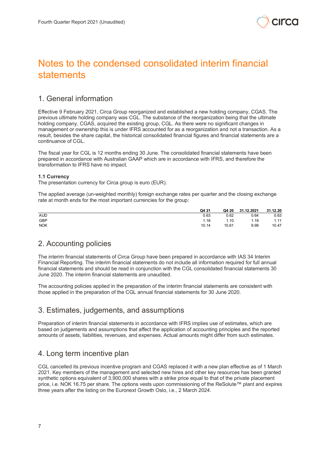

# Notes to the condensed consolidated interim financial statements

# 1. General information

Effective 9 February 2021, Circa Group reorganized and established a new holding company, CGAS. The previous ultimate holding company was CGL. The substance of the reorganization being that the ultimate holding company, CGAS, acquired the existing group, CGL. As there were no significant changes in management or ownership this is under IFRS accounted for as a reorganization and not a transaction. As a result, besides the share capital, the historical consolidated financial figures and financial statements are a continuance of CGL.

The fiscal year for CGL is 12 months ending 30 June. The consolidated financial statements have been prepared in accordance with Australian GAAP which are in accordance with IFRS, and therefore the transformation to IFRS have no impact.

### **1.1 Currency**

The presentation currency for Circa group is euro (EUR).

The applied average (un-weighted monthly) foreign exchange rates per quarter and the closing exchange rate at month ends for the most important currencies for the group:

|            | Q4 21 | Q4 20 | 31.12.2021 | 31.12.20 |
|------------|-------|-------|------------|----------|
| <b>AUD</b> | 0.63  | 0.62  | 0.64       | 0.63     |
| GBP        | 1.18  | 1.10  | 1.19       | 1.11     |
| <b>NOK</b> | 10.14 | 10.61 | 9.99       | 10.47    |

# 2. Accounting policies

The interim financial statements of Circa Group have been prepared in accordance with IAS 34 Interim Financial Reporting. The interim financial statements do not include all information required for full annual financial statements and should be read in conjunction with the CGL consolidated financial statements 30 June 2020. The interim financial statements are unaudited.

The accounting policies applied in the preparation of the interim financial statements are consistent with those applied in the preparation of the CGL annual financial statements for 30 June 2020.

# 3. Estimates, judgements, and assumptions

Preparation of interim financial statements in accordance with IFRS implies use of estimates, which are based on judgements and assumptions that affect the application of accounting principles and the reported amounts of assets, liabilities, revenues, and expenses. Actual amounts might differ from such estimates.

# 4. Long term incentive plan

CGL cancelled its previous incentive program and CGAS replaced it with a new plan effective as of 1 March 2021. Key members of the management and selected new hires and other key resources has been granted synthetic options equivalent of 3,900,000 shares with a strike price equal to that of the private placement price, i.e. NOK 16.75 per share. The options vests upon commissioning of the ReSolute™ plant and expires three years after the listing on the Euronext Growth Oslo, i.e., 2 March 2024.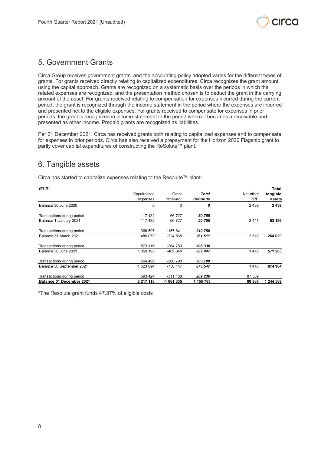

# 5. Government Grants

Circa Group receives government grants, and the accounting policy adopted varies for the different types of grants. For grants received directly relating to capitalized expenditures, Circa recognizes the grant amount using the capital approach. Grants are recognized on a systematic basis over the periods in which the related expenses are recognized, and the presentation method chosen is to deduct the grant in the carrying amount of the asset. For grants received relating to compensation for expenses incurred during the current period, the grant is recognized through the income statement in the period where the expenses are incurred and presented net to the eligible expenses. For grants received to compensate for expenses in prior periods, the grant is recognized in income statement in the period where it becomes a receivable and presented as other income. Prepaid grants are recognized as liabilities.

Per 31 December 2021, Circa has received grants both relating to capitalized expenses and to compensate for expenses in prior periods. Circa has also received a prepayment for the Horizon 2020 Flagship grant to partly cover capital expenditures of constructing the ReSolute™ plant.

# 6. Tangible assets

Circa has started to capitalize expenses relating to the Resolute™ plant:

| (EUR)                      |              |            |                 |            | Total     |
|----------------------------|--------------|------------|-----------------|------------|-----------|
|                            | Capaitalized | Grant      | Total           | Net other  | tangible  |
|                            | expenses     | received*  | <b>ReSolute</b> | <b>PPE</b> | assets    |
| Balance 30 June 2020       | 0            | 0          | 0               | 2 4 3 9    | 2439      |
| Transactions during period | 117 482      | $-66727$   | 50 755          |            |           |
| Balance 1 January 2021     | 117 482      | $-66727$   | 50 755          | 2441       | 53 196    |
| Transactions during period | 368 597      | $-157841$  | 210 756         |            |           |
| Balance 31 March 2021      | 486 079      | $-224568$  | 261 511         | 2 5 1 8    | 264 029   |
| Transactions during period | 573 116      | -264 780   | 308 336         |            |           |
| Balance 30 June 2021       | 1 059 195    | -489 348   | 569 847         | 1416       | 571 263   |
| Transactions during period | 564 499      | -260 798   | 303 700         |            |           |
| Balance 30 September 2021  | 1 623 694    | -750 147   | 873 547         | 1416       | 874 964   |
| Transactions during period | 593 424      | $-311188$  | 282 236         | 87 389     |           |
| Balance 31 December 2021   | 2 217 118    | -1 061 335 | 1 155 783       | 88 805     | 1 244 589 |

\*The Resolute grant funds 47,87% of eligible costs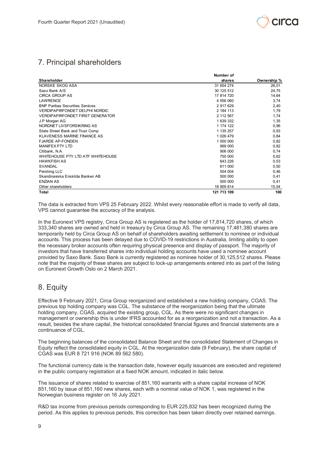

# 7. Principal shareholders

|                                         | Number of   |             |
|-----------------------------------------|-------------|-------------|
| Shareholder                             | shares      | Ownership % |
| NORSKE SKOG ASA                         | 31 654 274  | 26,01       |
| Saxo Bank A/S                           | 30 125 512  | 24,75       |
| <b>CIRCA GROUP AS</b>                   | 17 814 720  | 14,64       |
| <b>LAWRENCE</b>                         | 4 556 060   | 3,74        |
| <b>BNP Paribas Securities Services</b>  | 2 917 629   | 2,40        |
| <b>VERDIPAPIRFONDET DELPHI NORDIC</b>   | 2 184 113   | 1,79        |
| <b>VERDIPAPIRFONDET FIRST GENERATOR</b> | 2 112 567   | 1,74        |
| J.P Morgan AG                           | 1 639 332   | 1,35        |
| NORDNET LIVSFORSIKRING AS               | 1 174 122   | 0,96        |
| State Street Bank and Trust Comp        | 1 135 257   | 0,93        |
| <b>KLAVENESS MARINE FINANCE AS</b>      | 1 026 479   | 0,84        |
| <b>FJARDE AP-FONDEN</b>                 | 1 000 000   | 0,82        |
| <b>MANIFEX PTY LTD</b>                  | 999 000     | 0,82        |
| Citibank, N.A.                          | 906 000     | 0,74        |
| WHITEHOUSE PTY LTD ATF WHITEHOUSE       | 750 000     | 0,62        |
| <b>HAWKFISH AS</b>                      | 643 226     | 0,53        |
| <b>SVANDAL</b>                          | 611 000     | 0,50        |
| Pershing LLC                            | 554 004     | 0,46        |
| Skandinaviska Enskilda Banken AB        | 500 000     | 0,41        |
| <b>ENZIAN AS</b>                        | 500 000     | 0,41        |
| Other shareholders                      | 18 909 814  | 15,54       |
| Total                                   | 121 713 109 | 100         |

The data is extracted from VPS 25 February 2022. Whilst every reasonable effort is made to verify all data, VPS cannot guarantee the accuracy of the analysis.

In the Euronext VPS registry, Circa Group AS is registered as the holder of 17,814,720 shares, of which 333,340 shares are owned and held in treasury by Circa Group AS. The remaining 17,481,380 shares are temporarily held by Circa Group AS on behalf of shareholders awaiting settlement to nominee or individual accounts. This process has been delayed due to COVID-19 restrictions in Australia, limiting ability to open the necessary broker accounts often requiring physical presence and display of passport. The majority of investors that have transferred shares into individual holding accounts have used a nominee account provided by Saxo Bank. Saxo Bank is currently registered as nominee holder of 30,125,512 shares. Please note that the majority of these shares are subject to lock-up arrangements entered into as part of the listing on Euronext Growth Oslo on 2 March 2021.

# 8. Equity

Effective 9 February 2021, Circa Group reorganized and established a new holding company, CGAS. The previous top holding company was CGL. The substance of the reorganization being that the ultimate holding company, CGAS, acquired the existing group, CGL. As there were no significant changes in management or ownership this is under IFRS accounted for as a reorganization and not a transaction. As a result, besides the share capital, the historical consolidated financial figures and financial statements are a continuance of CGL.

The beginning balances of the consolidated Balance Sheet and the consolidated Statement of Changes in Equity reflect the consolidated equity in CGL. At the reorganization date (9 February), the share capital of CGAS was EUR 8 721 916 (NOK 89 562 580).

The functional currency date is the transaction date, however equity issuances are executed and registered in the public company registration at a fixed NOK amount, indicated in italic below.

The issuance of shares related to exercise of 851,160 warrants with a share capital increase of NOK 851,160 by issue of 851,160 new shares, each with a nominal value of NOK 1, was registered in the Norwegian business register on 16 July 2021.

R&D tax income from previous periods corresponding to EUR 225,832 has been recognized during the period. As this applies to previous periods, this correction has been taken directly over retained earnings.